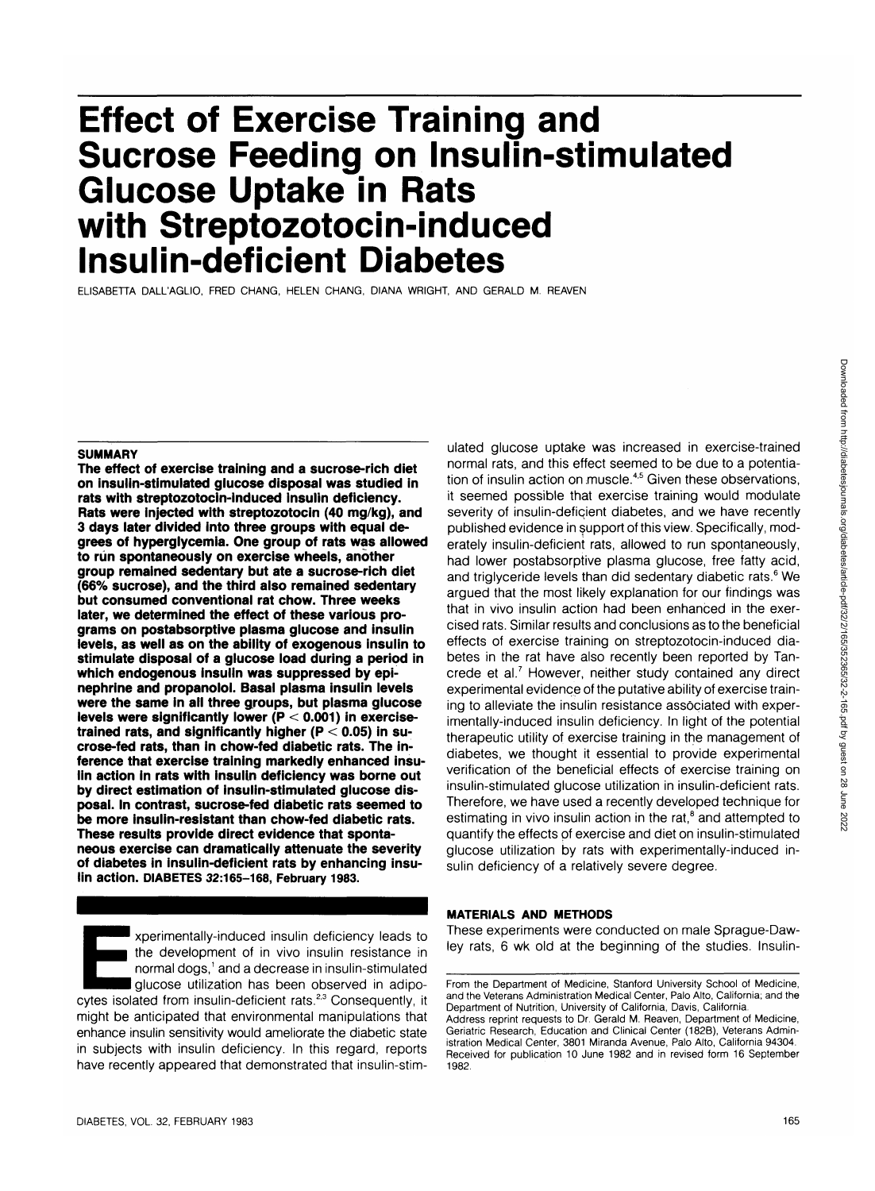# **Effect of Exercise Training and Sucrose Feeding on Insulin-stimulated Gjucose Uptake in Rats with Streptozotocin-induced Insulin-deficient Diabetes**

ELISABETTA DALL'AGLIO, FRED CHANG, HELEN CHANG, DIANA WRIGHT, AND GERALD M. REAVEN

## **SUMMARY**

**The effect of exercise training and a sucrose-rich diet on insulin-stimulated glucose disposal was studied in rats with streptozotocin-induced insulin deficiency. Rats were injected with streptozotocin (40 mg/kg), and 3 days later divided into three groups with equal degrees of hyperglycemia. One group of rats was allowed to run spontaneously on exercise wheels, another group remained sedentary but ate a sucrose-rich diet (66% sucrose), and the third also remained sedentary but consumed conventional rat chow. Three weeks later, we determined the effect of these various programs on postabsorptive plasma glucose and insulin levels, as well as on the ability of exogenous insulin to stimulate disposal of a glucose load during a period in which endogenous insulin was suppressed by epinephrine and propanolol. Basal plasma insulin levels were the same in all three groups, but plasma glucose levels were significantly lower (P < 0.001) in exercisetrained rats, and significantly higher (P < 0.05) in sucrose-fed rats, than in chow-fed diabetic rats. The inference that exercise training markedly enhanced insulin action in rats with insulin deficiency was borne out by direct estimation of insulin-stimulated glucose disposal. In contrast, sucrose-fed diabetic rats seemed to be more insulin-resistant than chow-fed diabetic rats. These results provide direct evidence that spontaneous exercise can dramatically attenuate the severity of diabetes in insulin-deficient rats by enhancing insulin action. DIABETES 32:165-168, February 1983.** 

xperimentally-induced insulin deficiency leads to<br>the development of in vivo insulin resistance in<br>normal dogs,' and a decrease in insulin-stimulated<br>glucose utilization has been observed in adipo-<br>cytes isolated from insu the development of in vivo insulin resistance in normal dogs,<sup>1</sup> and a decrease in insulin-stimulated glucose utilization has been observed in adipomight be anticipated that environmental manipulations that enhance insulin sensitivity would ameliorate the diabetic state in subjects with insulin deficiency. In this regard, reports have recently appeared that demonstrated that insulin-stimulated glucose uptake was increased in exercise-trained normal rats, and this effect seemed to be due to a potentiation of insulin action on muscle.<sup>4,5</sup> Given these observations, it seemed possible that exercise training would modulate severity of insulin-deficient diabetes, and we have recently published evidence in support of this view. Specifically, moderately insulin-deficient rats, allowed to run spontaneously, had lower postabsorptive plasma glucose, free fatty acid, and triglyceride levels than did sedentary diabetic rats.<sup>6</sup> We argued that the most likely explanation for our findings was that in vivo insulin action had been enhanced in the exercised rats. Similar results and conclusions as to the beneficial effects of exercise training on streptozotocin-induced diabetes in the rat have also recently been reported by Tancrede et al.<sup>7</sup> However, neither study contained any direct experimental evidence of the putative ability of exercise training to alleviate the insulin resistance associated with experimentally-induced insulin deficiency. In light of the potential therapeutic utility of exercise training in the management of diabetes, we thought it essential to provide experimental verification of the beneficial effects of exercise training on insulin-stimulated glucose utilization in insulin-deficient rats. Therefore, we have used a recently developed technique for estimating in vivo insulin action in the rat, $^8$  and attempted to quantify the effects of exercise and diet on insulin-stimulated glucose utilization by rats with experimentally-induced insulin deficiency of a relatively severe degree.

### **MATERIALS AND METHODS**

These experiments were conducted on male Sprague-Dawley rats, 6 wk old at the beginning of the studies. Insulin-

From the Department of Medicine, Stanford University School of Medicine, and the Veterans Administration Medical Center, Palo Alto, California; and the Department of Nutrition, University of California, Davis, California. Address reprint requests to Dr. Gerald M. Reaven, Department of Medicine,

Geriatric Research, Education and Clinical Center (182B), Veterans Administration Medical Center, 3801 Miranda Avenue, Palo Alto, California 94304. Received for publication 10 June 1982 and in revised form 16 September 1982.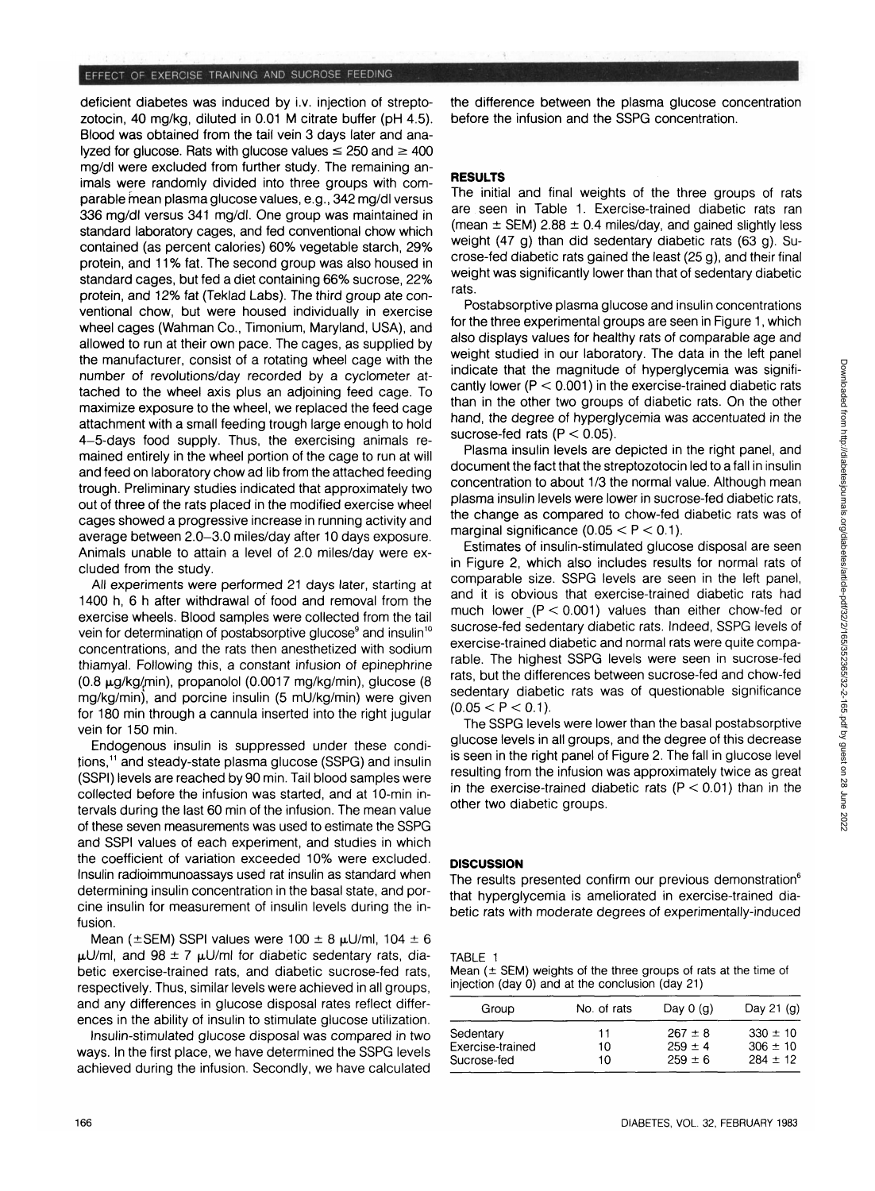deficient diabetes was induced by i.v. injection of streptozotocin, 40 mg/kg, diluted in 0.01 M citrate buffer (pH 4.5). Blood was obtained from the tail vein 3 days later and analyzed for glucose. Rats with glucose values  $\leq$  250 and  $\geq$  400 mg/dl were excluded from further study. The remaining animals were randomly divided into three groups with comparable mean plasma glucose values, e.g., 342 mg/dl versus 336 mg/dl versus 341 mg/dl. One group was maintained in standard laboratory cages, and fed conventional chow which contained (as percent calories) 60% vegetable starch, 29% protein, and 11 % fat. The second group was also housed in standard cages, but fed a diet containing 66% sucrose, 22% protein, and 12% fat (Teklad Labs). The third group ate conventional chow, but were housed individually in exercise wheel cages (Wahman Co., Timonium, Maryland, USA), and allowed to run at their own pace. The cages, as supplied by the manufacturer, consist of a rotating wheel cage with the number of revolutions/day recorded by a cyclometer attached to the wheel axis plus an adjoining feed cage. To maximize exposure to the wheel, we replaced the feed cage attachment with a small feeding trough large enough to hold 4-5-days food supply. Thus, the exercising animals remained entirely in the wheel portion of the cage to run at will and feed on laboratory chow ad lib from the attached feeding trough. Preliminary studies indicated that approximately two out of three of the rats placed in the modified exercise wheel cages showed a progressive increase in running activity and average between 2.0-3.0 miles/day after 10 days exposure. Animals unable to attain a level of 2.0 miles/day were excluded from the study.

All experiments were performed 21 days later, starting at 1400 h, 6 h after withdrawal of food and removal from the exercise wheels. Blood samples were collected from the tail vein for determination of postabsorptive glucose<sup>9</sup> and insulin<sup>10</sup> concentrations, and the rats then anesthetized with sodium thiamyal. Following this, a constant infusion of epinephrine  $(0.8 \mu g/kg/min)$ , propanolol  $(0.0017 mg/kg/min)$ , glucose  $(8$ mg/kg/minj, and porcine insulin (5 mU/kg/min) were given for 180 min through a cannula inserted into the right jugular vein for 150 min.

Endogenous insulin is suppressed under these conditions,<sup>11</sup> and steady-state plasma glucose (SSPG) and insulin (SSPI) levels are reached by 90 min. Tail blood samples were collected before the infusion was started, and at 10-min intervals during the last 60 min of the infusion. The mean value of these seven measurements was used to estimate the SSPG and SSPI values of each experiment, and studies in which the coefficient of variation exceeded 10% were excluded. Insulin radioimmunoassays used rat insulin as standard when determining insulin concentration in the basal state, and porcine insulin for measurement of insulin levels during the infusion.

Mean ( $\pm$ SEM) SSPI values were 100  $\pm$  8 µU/ml, 104  $\pm$  6  $\mu$ U/ml, and 98  $\pm$  7  $\mu$ U/ml for diabetic sedentary rats, diabetic exercise-trained rats, and diabetic sucrose-fed rats, respectively. Thus, similar levels were achieved in all groups, and any differences in glucose disposal rates reflect differences in the ability of insulin to stimulate glucose utilization.

Insulin-stimulated glucose disposal was compared in two ways. In the first place, we have determined the SSPG levels achieved during the infusion. Secondly, we have calculated the difference between the plasma glucose concentration before the infusion and the SSPG concentration.

# **RESULTS**

The initial and final weights of the three groups of rats are seen in Table 1. Exercise-trained diabetic rats ran (mean  $\pm$  SEM) 2.88  $\pm$  0.4 miles/day, and gained slightly less weight (47 g) than did sedentary diabetic rats (63 g). Sucrose-fed diabetic rats gained the least (25 g), and their final weight was significantly lower than that of sedentary diabetic rats.

Postabsorptive plasma glucose and insulin concentrations for the three experimental groups are seen in Figure 1, which also displays values for healthy rats of comparable age and weight studied in our laboratory. The data in the left panel indicate that the magnitude of hyperglycemia was significantly lower ( $P < 0.001$ ) in the exercise-trained diabetic rats than in the other two groups of diabetic rats. On the other hand, the degree of hyperglycemia was accentuated in the sucrose-fed rats  $(P < 0.05)$ .

Plasma insulin levels are depicted in the right panel, and document the fact that the streptozotocin led to a fall in insulin concentration to about 1/3 the normal value. Although mean plasma insulin levels were lower in sucrose-fed diabetic rats, the change as compared to chow-fed diabetic rats was of marginal significance  $(0.05 < P < 0.1)$ .

Estimates of insulin-stimulated glucose disposal are seen in Figure 2, which also includes results for normal rats of comparable size. SSPG levels are seen in the left panel, and it is obvious that exercise-trained diabetic rats had much lower ( $P < 0.001$ ) values than either chow-fed or sucrose-fed sedentary diabetic rats. Indeed, SSPG levels of exercise-trained diabetic and normal rats were quite comparable. The highest SSPG levels were seen in sucrose-fed rats, but the differences between sucrose-fed and chow-fed sedentary diabetic rats was of questionable significance  $(0.05 < P < 0.1)$ .

The SSPG levels were lower than the basal postabsorptive glucose levels in all groups, and the degree of this decrease is seen in the right panel of Figure 2. The fall in glucose level resulting from the infusion was approximately twice as great in the exercise-trained diabetic rats  $(P < 0.01)$  than in the other two diabetic groups.

### **DISCUSSION**

The results presented confirm our previous demonstration<sup>6</sup> that hyperglycemia is ameliorated in exercise-trained diabetic rats with moderate degrees of experimentally-induced

#### TABLE 1

Mean ( $\pm$  SEM) weights of the three groups of rats at the time of injection (day 0) and at the conclusion (day 21)

| No. of rats                           | Day 21 (g)<br>Day $0(q)$    |
|---------------------------------------|-----------------------------|
| 11                                    | $330 \pm 10$<br>$267 \pm 8$ |
| Exercise-trained<br>$259 \pm 4$<br>10 | $306 \pm 10$                |
| 10                                    | $284 \pm 12$<br>$259 \pm 6$ |
|                                       |                             |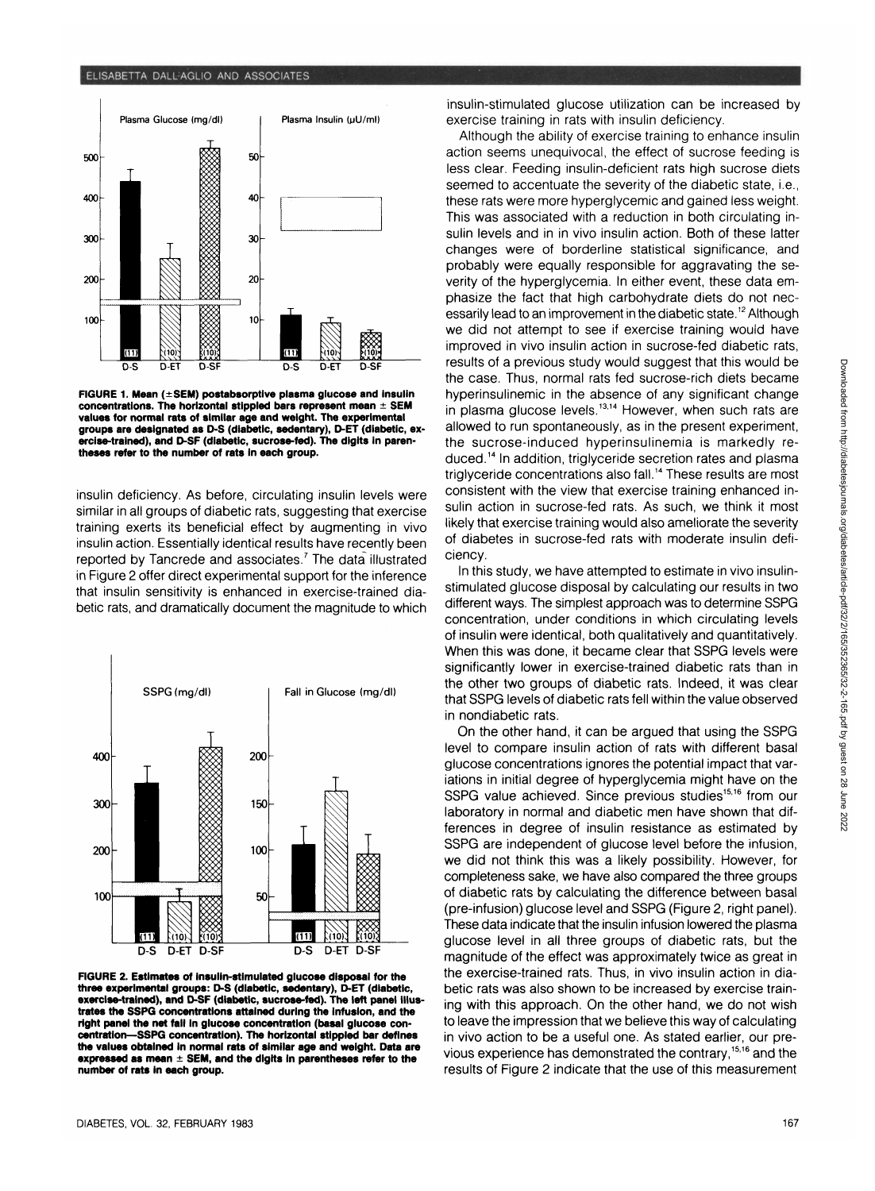#### **ELISABETTA DALLAGLIO AND ASSOCIATE**



**FIGURE 1. Mean (±SEM) postabsorptive plasma glucose and insulin concentrations. The horizontal stippled bars represent mean ± SEM values for normal rats of similar age and weight. The experimental groups are designated as D-S (diabetic, sedentary), D-ET (diabetic, exercise-trained), and D-SF (diabetic, sucrose-fed). The digits in parentheses refer to the number of rats in each group.**

insulin deficiency. As before, circulating insulin levels were similar in all groups of diabetic rats, suggesting that exercise training exerts its beneficial effect by augmenting in vivo insulin action. Essentially identical results have recently been reported by Tancrede and associates.<sup>7</sup> The data illustrated in Figure 2 offer direct experimental support for the inference that insulin sensitivity is enhanced in exercise-trained diabetic rats, and dramatically document the magnitude to which



**FIGURE 2. Estimates of insulin-stimulated glucose disposal for the three experimental groups: D-S (diabetic, sedentary), D-ET (diabetic, exercise-trained), and D-SF (diabetic, sucrose-fed). The left panel illustrates the SSPG concentrations attained during the infusion, and the right panel the net fall in glucose concentration (basal glucose concentration—SSPG concentration). The horizontal stippled bar defines the values obtained in normal rats of similar age and weight. Data are expressed as mean ± SEM, and the digits In parentheses refer to the number of rats in each group.**

insulin-stimulated glucose utilization can be increased by exercise training in rats with insulin deficiency.

Although the ability of exercise training to enhance insulin action seems unequivocal, the effect of sucrose feeding is less clear. Feeding insulin-deficient rats high sucrose diets seemed to accentuate the severity of the diabetic state, i.e., these rats were more hyperglycemic and gained less weight. This was associated with a reduction in both circulating insulin levels and in in vivo insulin action. Both of these latter changes were of borderline statistical significance, and probably were equally responsible for aggravating the severity of the hyperglycemia. In either event, these data emphasize the fact that high carbohydrate diets do not necessarily lead to an improvement in the diabetic state.<sup>12</sup> Although we did not attempt to see if exercise training would have improved in vivo insulin action in sucrose-fed diabetic rats, results of a previous study would suggest that this would be the case. Thus, normal rats fed sucrose-rich diets became hyperinsulinemic in the absence of any significant change in plasma glucose levels.<sup>13,14</sup> However, when such rats are allowed to run spontaneously, as in the present experiment, the sucrose-induced hyperinsulinemia is markedly reduced<sup>.14</sup> In addition, triglyceride secretion rates and plasma triglyceride concentrations also fall.<sup>14</sup> These results are most consistent with the view that exercise training enhanced insulin action in sucrose-fed rats. As such, we think it most likely that exercise training would also ameliorate the severity of diabetes in sucrose-fed rats with moderate insulin deficiency.

In this study, we have attempted to estimate in vivo insulinstimulated glucose disposal by calculating our results in two different ways. The simplest approach was to determine SSPG concentration, under conditions in which circulating levels of insulin were identical, both qualitatively and quantitatively. When this was done, it became clear that SSPG levels were significantly lower in exercise-trained diabetic rats than in the other two groups of diabetic rats. Indeed, it was clear that SSPG levels of diabetic rats fell within the value observed in nondiabetic rats.

On the other hand, it can be argued that using the SSPG level to compare insulin action of rats with different basal glucose concentrations ignores the potential impact that variations in initial degree of hyperglycemia might have on the SSPG value achieved. Since previous studies<sup>15,16</sup> from our laboratory in normal and diabetic men have shown that differences in degree of insulin resistance as estimated by SSPG are independent of glucose level before the infusion, we did not think this was a likely possibility. However, for completeness sake, we have also compared the three groups of diabetic rats by calculating the difference between basal (pre-infusion) glucose level and SSPG (Figure 2, right panel). These data indicate that the insulin infusion lowered the plasma glucose level in all three groups of diabetic rats, but the magnitude of the effect was approximately twice as great in the exercise-trained rats. Thus, in vivo insulin action in diabetic rats was also shown to be increased by exercise training with this approach. On the other hand, we do not wish to leave the impression that we believe this way of calculating in vivo action to be a useful one. As stated earlier, our previous experience has demonstrated the contrary,<sup>15,16</sup> and the results of Figure 2 indicate that the use of this measurement